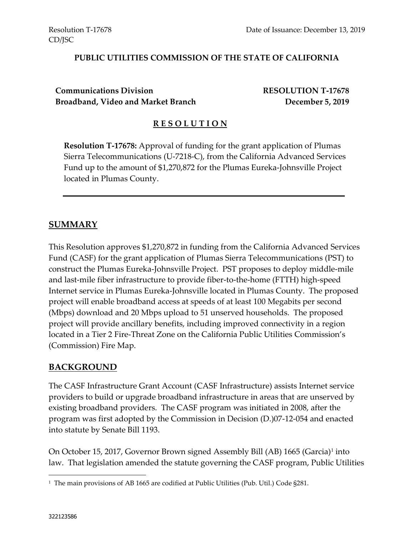#### **PUBLIC UTILITIES COMMISSION OF THE STATE OF CALIFORNIA**

**Communications Division RESOLUTION T-17678 Broadband, Video and Market Branch December 5, 2019**

#### **R E S O L U T I O N**

**Resolution T-17678:** Approval of funding for the grant application of Plumas Sierra Telecommunications (U-7218-C), from the California Advanced Services Fund up to the amount of \$1,270,872 for the Plumas Eureka-Johnsville Project located in Plumas County.

#### **SUMMARY**

This Resolution approves \$1,270,872 in funding from the California Advanced Services Fund (CASF) for the grant application of Plumas Sierra Telecommunications (PST) to construct the Plumas Eureka-Johnsville Project. PST proposes to deploy middle-mile and last-mile fiber infrastructure to provide fiber-to-the-home (FTTH) high-speed Internet service in Plumas Eureka-Johnsville located in Plumas County. The proposed project will enable broadband access at speeds of at least 100 Megabits per second (Mbps) download and 20 Mbps upload to 51 unserved households. The proposed project will provide ancillary benefits, including improved connectivity in a region located in a Tier 2 Fire-Threat Zone on the California Public Utilities Commission's (Commission) Fire Map.

#### **BACKGROUND**

The CASF Infrastructure Grant Account (CASF Infrastructure) assists Internet service providers to build or upgrade broadband infrastructure in areas that are unserved by existing broadband providers. The CASF program was initiated in 2008, after the program was first adopted by the Commission in Decision (D.)07-12-054 and enacted into statute by Senate Bill 1193.

On October 15, 2017, Governor Brown signed Assembly Bill (AB) 1665 (Garcia)<sup>1</sup> into law. That legislation amended the statute governing the CASF program, Public Utilities

l

<sup>1</sup> The main provisions of AB 1665 are codified at Public Utilities (Pub. Util.) Code §281.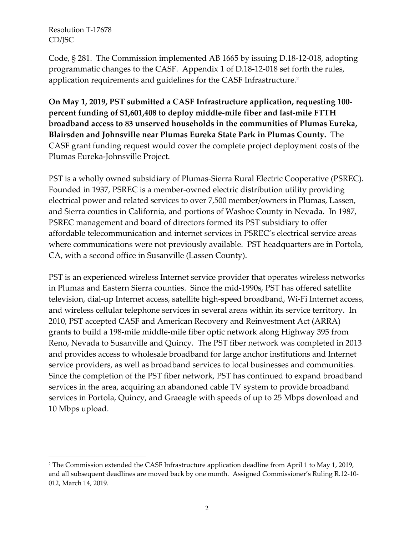l

Code, § 281. The Commission implemented AB 1665 by issuing D.18-12-018, adopting programmatic changes to the CASF. Appendix 1 of D.18-12-018 set forth the rules, application requirements and guidelines for the CASF Infrastructure.<sup>2</sup>

**On May 1, 2019, PST submitted a CASF Infrastructure application, requesting 100 percent funding of \$1,601,408 to deploy middle-mile fiber and last-mile FTTH broadband access to 83 unserved households in the communities of Plumas Eureka, Blairsden and Johnsville near Plumas Eureka State Park in Plumas County.** The CASF grant funding request would cover the complete project deployment costs of the Plumas Eureka-Johnsville Project.

PST is a wholly owned subsidiary of Plumas-Sierra Rural Electric Cooperative (PSREC). Founded in 1937, PSREC is a member-owned electric distribution utility providing electrical power and related services to over 7,500 member/owners in Plumas, Lassen, and Sierra counties in California, and portions of Washoe County in Nevada. In 1987, PSREC management and board of directors formed its PST subsidiary to offer affordable telecommunication and internet services in PSREC's electrical service areas where communications were not previously available. PST headquarters are in Portola, CA, with a second office in Susanville (Lassen County).

PST is an experienced wireless Internet service provider that operates wireless networks in Plumas and Eastern Sierra counties. Since the mid-1990s, PST has offered satellite television, dial-up Internet access, satellite high-speed broadband, Wi-Fi Internet access, and wireless cellular telephone services in several areas within its service territory. In 2010, PST accepted CASF and American Recovery and Reinvestment Act (ARRA) grants to build a 198-mile middle-mile fiber optic network along Highway 395 from Reno, Nevada to Susanville and Quincy. The PST fiber network was completed in 2013 and provides access to wholesale broadband for large anchor institutions and Internet service providers, as well as broadband services to local businesses and communities. Since the completion of the PST fiber network, PST has continued to expand broadband services in the area, acquiring an abandoned cable TV system to provide broadband services in Portola, Quincy, and Graeagle with speeds of up to 25 Mbps download and 10 Mbps upload.

<sup>&</sup>lt;sup>2</sup> The Commission extended the CASF Infrastructure application deadline from April 1 to May 1, 2019, and all subsequent deadlines are moved back by one month. Assigned Commissioner's Ruling R.12-10- 012, March 14, 2019.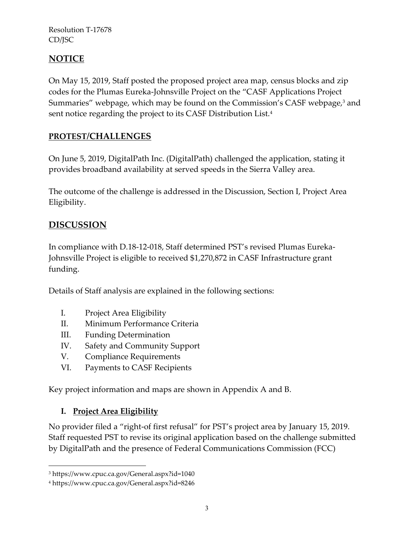# **NOTICE**

On May 15, 2019, Staff posted the proposed project area map, census blocks and zip codes for the Plumas Eureka-Johnsville Project on the "CASF Applications Project Summaries" webpage, which may be found on the Commission's CASF webpage,<sup>3</sup> and sent notice regarding the project to its CASF Distribution List.<sup>4</sup>

# **PROTEST/CHALLENGES**

On June 5, 2019, DigitalPath Inc. (DigitalPath) challenged the application, stating it provides broadband availability at served speeds in the Sierra Valley area.

The outcome of the challenge is addressed in the Discussion, Section I, Project Area Eligibility.

# **DISCUSSION**

In compliance with D.18-12-018, Staff determined PST's revised Plumas Eureka-Johnsville Project is eligible to received \$1,270,872 in CASF Infrastructure grant funding.

Details of Staff analysis are explained in the following sections:

- I. Project Area Eligibility
- II. Minimum Performance Criteria
- III. Funding Determination
- IV. Safety and Community Support
- V. Compliance Requirements
- VI. Payments to CASF Recipients

Key project information and maps are shown in Appendix A and B.

# **I. Project Area Eligibility**

 $\overline{a}$ 

No provider filed a "right-of first refusal" for PST's project area by January 15, 2019. Staff requested PST to revise its original application based on the challenge submitted by DigitalPath and the presence of Federal Communications Commission (FCC)

<sup>3</sup> https://www.cpuc.ca.gov/General.aspx?id=1040

<sup>4</sup> https://www.cpuc.ca.gov/General.aspx?id=8246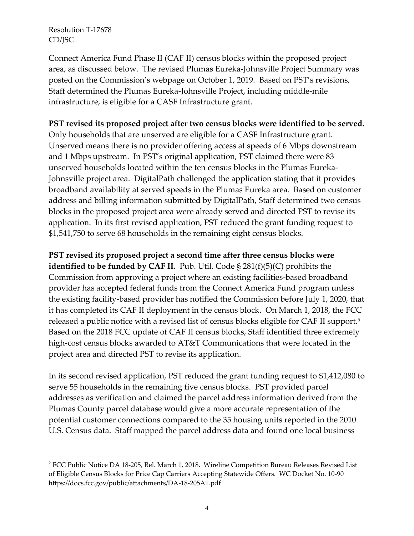l

Connect America Fund Phase II (CAF II) census blocks within the proposed project area, as discussed below. The revised Plumas Eureka-Johnsville Project Summary was posted on the Commission's webpage on October 1, 2019. Based on PST's revisions, Staff determined the Plumas Eureka-Johnsville Project, including middle-mile infrastructure, is eligible for a CASF Infrastructure grant.

#### **PST revised its proposed project after two census blocks were identified to be served.**

Only households that are unserved are eligible for a CASF Infrastructure grant. Unserved means there is no provider offering access at speeds of 6 Mbps downstream and 1 Mbps upstream. In PST's original application, PST claimed there were 83 unserved households located within the ten census blocks in the Plumas Eureka-Johnsville project area. DigitalPath challenged the application stating that it provides broadband availability at served speeds in the Plumas Eureka area. Based on customer address and billing information submitted by DigitalPath, Staff determined two census blocks in the proposed project area were already served and directed PST to revise its application. In its first revised application, PST reduced the grant funding request to \$1,541,750 to serve 68 households in the remaining eight census blocks.

**PST revised its proposed project a second time after three census blocks were identified to be funded by CAF II**. Pub. Util. Code § 281(f)(5)(C) prohibits the Commission from approving a project where an existing facilities-based broadband provider has accepted federal funds from the Connect America Fund program unless the existing facility-based provider has notified the Commission before July 1, 2020, that it has completed its CAF II deployment in the census block. On March 1, 2018, the FCC released a public notice with a revised list of census blocks eligible for CAF II support. 5 Based on the 2018 FCC update of CAF II census blocks, Staff identified three extremely high-cost census blocks awarded to AT&T Communications that were located in the project area and directed PST to revise its application.

In its second revised application, PST reduced the grant funding request to \$1,412,080 to serve 55 households in the remaining five census blocks. PST provided parcel addresses as verification and claimed the parcel address information derived from the Plumas County parcel database would give a more accurate representation of the potential customer connections compared to the 35 housing units reported in the 2010 U.S. Census data. Staff mapped the parcel address data and found one local business

<sup>&</sup>lt;sup>5</sup> FCC Public Notice DA 18-205, Rel. March 1, 2018. Wireline Competition Bureau Releases Revised List of Eligible Census Blocks for Price Cap Carriers Accepting Statewide Offers. WC Docket No. 10-90 https://docs.fcc.gov/public/attachments/DA-18-205A1.pdf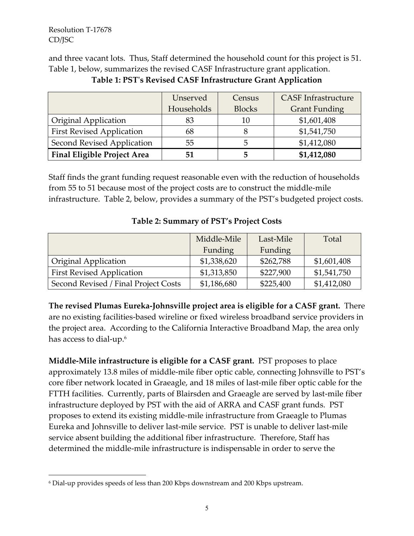l

and three vacant lots. Thus, Staff determined the household count for this project is 51. Table 1, below, summarizes the revised CASF Infrastructure grant application.

|                                    | Unserved   | <b>Census</b> | <b>CASF</b> Infrastructure |
|------------------------------------|------------|---------------|----------------------------|
|                                    | Households | <b>Blocks</b> | <b>Grant Funding</b>       |
| Original Application               | 83         | 10            | \$1,601,408                |
| <b>First Revised Application</b>   | 68         |               | \$1,541,750                |
| Second Revised Application         | 55         | 5             | \$1,412,080                |
| <b>Final Eligible Project Area</b> | 51         | 5             | \$1,412,080                |

**Table 1: PST's Revised CASF Infrastructure Grant Application**

Staff finds the grant funding request reasonable even with the reduction of households from 55 to 51 because most of the project costs are to construct the middle-mile infrastructure. Table 2, below, provides a summary of the PST's budgeted project costs.

|                                      | Middle-Mile | Last-Mile | Total       |
|--------------------------------------|-------------|-----------|-------------|
|                                      | Funding     | Funding   |             |
| <b>Original Application</b>          | \$1,338,620 | \$262,788 | \$1,601,408 |
| <b>First Revised Application</b>     | \$1,313,850 | \$227,900 | \$1,541,750 |
| Second Revised / Final Project Costs | \$1,186,680 | \$225,400 | \$1,412,080 |

#### **Table 2: Summary of PST's Project Costs**

**The revised Plumas Eureka-Johnsville project area is eligible for a CASF grant.** There are no existing facilities-based wireline or fixed wireless broadband service providers in the project area. According to the California Interactive Broadband Map, the area only has access to dial-up. $^{\rm 6}$ 

**Middle-Mile infrastructure is eligible for a CASF grant.** PST proposes to place approximately 13.8 miles of middle-mile fiber optic cable, connecting Johnsville to PST's core fiber network located in Graeagle, and 18 miles of last-mile fiber optic cable for the FTTH facilities. Currently, parts of Blairsden and Graeagle are served by last-mile fiber infrastructure deployed by PST with the aid of ARRA and CASF grant funds. PST proposes to extend its existing middle-mile infrastructure from Graeagle to Plumas Eureka and Johnsville to deliver last-mile service. PST is unable to deliver last-mile service absent building the additional fiber infrastructure. Therefore, Staff has determined the middle-mile infrastructure is indispensable in order to serve the

<sup>6</sup> Dial-up provides speeds of less than 200 Kbps downstream and 200 Kbps upstream.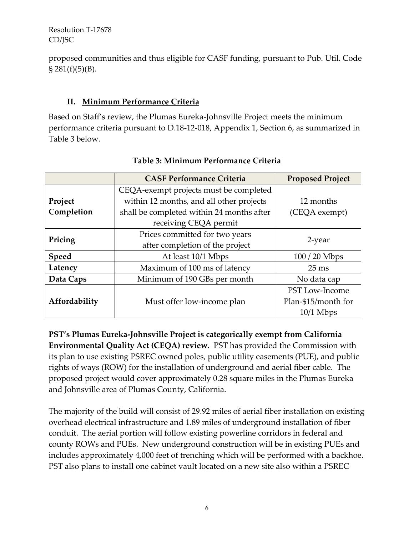proposed communities and thus eligible for CASF funding, pursuant to Pub. Util. Code  $\S 281(f)(5)(B)$ .

## **II. Minimum Performance Criteria**

Based on Staff's review, the Plumas Eureka-Johnsville Project meets the minimum performance criteria pursuant to D.18-12-018, Appendix 1, Section 6, as summarized in Table 3 below.

|               | <b>CASF Performance Criteria</b>          | <b>Proposed Project</b> |  |
|---------------|-------------------------------------------|-------------------------|--|
|               | CEQA-exempt projects must be completed    |                         |  |
| Project       | within 12 months, and all other projects  | 12 months               |  |
| Completion    | shall be completed within 24 months after | (CEQA exempt)           |  |
|               | receiving CEQA permit                     |                         |  |
|               | Prices committed for two years            | 2-year                  |  |
| Pricing       | after completion of the project           |                         |  |
| <b>Speed</b>  | At least 10/1 Mbps                        | $100/20$ Mbps           |  |
| Latency       | Maximum of 100 ms of latency              | $25 \text{ ms}$         |  |
| Data Caps     | Minimum of 190 GBs per month              | No data cap             |  |
|               |                                           | <b>PST Low-Income</b>   |  |
| Affordability | Must offer low-income plan                | Plan-\$15/month for     |  |
|               |                                           | $10/1$ Mbps             |  |

## **Table 3: Minimum Performance Criteria**

**PST's Plumas Eureka-Johnsville Project is categorically exempt from California Environmental Quality Act (CEQA) review.** PST has provided the Commission with its plan to use existing PSREC owned poles, public utility easements (PUE), and public rights of ways (ROW) for the installation of underground and aerial fiber cable. The proposed project would cover approximately 0.28 square miles in the Plumas Eureka and Johnsville area of Plumas County, California.

The majority of the build will consist of 29.92 miles of aerial fiber installation on existing overhead electrical infrastructure and 1.89 miles of underground installation of fiber conduit. The aerial portion will follow existing powerline corridors in federal and county ROWs and PUEs. New underground construction will be in existing PUEs and includes approximately 4,000 feet of trenching which will be performed with a backhoe. PST also plans to install one cabinet vault located on a new site also within a PSREC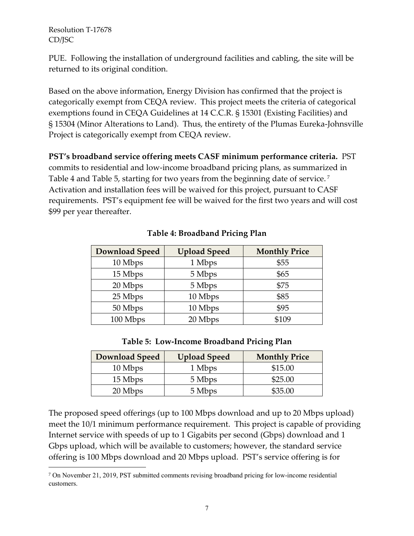$\overline{\phantom{a}}$ 

PUE. Following the installation of underground facilities and cabling, the site will be returned to its original condition.

Based on the above information, Energy Division has confirmed that the project is categorically exempt from CEQA review. This project meets the criteria of categorical exemptions found in CEQA Guidelines at 14 C.C.R. § 15301 (Existing Facilities) and § 15304 (Minor Alterations to Land). Thus, the entirety of the Plumas Eureka-Johnsville Project is categorically exempt from CEQA review.

**PST's broadband service offering meets CASF minimum performance criteria.** PST commits to residential and low-income broadband pricing plans, as summarized in Table 4 and Table 5, starting for two years from the beginning date of service. <sup>7</sup> Activation and installation fees will be waived for this project, pursuant to CASF requirements. PST's equipment fee will be waived for the first two years and will cost \$99 per year thereafter.

| <b>Download Speed</b> | <b>Upload Speed</b> | <b>Monthly Price</b> |
|-----------------------|---------------------|----------------------|
| 10 Mbps               | 1 Mbps              | \$55                 |
| 15 Mbps               | 5 Mbps              | \$65                 |
| 20 Mbps               | 5 Mbps              | \$75                 |
| 25 Mbps               | 10 Mbps             | \$85                 |
| 50 Mbps               | 10 Mbps             | \$95                 |
| 100 Mbps              | 20 Mbps             | \$109                |

### **Table 4: Broadband Pricing Plan**

#### **Table 5: Low-Income Broadband Pricing Plan**

| <b>Download Speed</b> | <b>Upload Speed</b> | <b>Monthly Price</b> |
|-----------------------|---------------------|----------------------|
| 10 Mbps               | 1 Mbps              | \$15.00              |
| 15 Mbps               | 5 Mbps              | \$25.00              |
| 20 Mbps               | 5 Mbps              | \$35.00              |

The proposed speed offerings (up to 100 Mbps download and up to 20 Mbps upload) meet the 10/1 minimum performance requirement. This project is capable of providing Internet service with speeds of up to 1 Gigabits per second (Gbps) download and 1 Gbps upload, which will be available to customers; however, the standard service offering is 100 Mbps download and 20 Mbps upload. PST's service offering is for

<sup>7</sup> On November 21, 2019, PST submitted comments revising broadband pricing for low-income residential customers.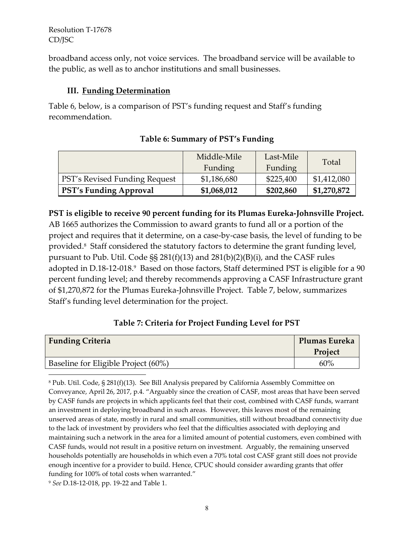broadband access only, not voice services. The broadband service will be available to the public, as well as to anchor institutions and small businesses.

### **III. Funding Determination**

Table 6, below, is a comparison of PST's funding request and Staff's funding recommendation.

|                                      | Middle-Mile | Last-Mile | Total       |
|--------------------------------------|-------------|-----------|-------------|
|                                      | Funding     | Funding   |             |
| <b>PST's Revised Funding Request</b> | \$1,186,680 | \$225,400 | \$1,412,080 |
| <b>PST's Funding Approval</b>        | \$1,068,012 | \$202,860 | \$1,270,872 |

### **Table 6: Summary of PST's Funding**

## **PST is eligible to receive 90 percent funding for its Plumas Eureka-Johnsville Project.**

AB 1665 authorizes the Commission to award grants to fund all or a portion of the project and requires that it determine, on a case-by-case basis, the level of funding to be provided.<sup>8</sup> Staff considered the statutory factors to determine the grant funding level, pursuant to Pub. Util. Code §§ 281(f)(13) and 281(b)(2)(B)(i), and the CASF rules adopted in D.18-12-018.<sup>9</sup> Based on those factors, Staff determined PST is eligible for a 90 percent funding level; and thereby recommends approving a CASF Infrastructure grant of \$1,270,872 for the Plumas Eureka-Johnsville Project. Table 7, below, summarizes Staff's funding level determination for the project.

### **Table 7: Criteria for Project Funding Level for PST**

| <b>Funding Criteria</b>             | Plumas Eureka |
|-------------------------------------|---------------|
|                                     | Project       |
| Baseline for Eligible Project (60%) | 60%           |

<sup>8</sup> Pub. Util. Code, § 281(f)(13). See Bill Analysis prepared by California Assembly Committee on Conveyance, April 26, 2017, p.4. "Arguably since the creation of CASF, most areas that have been served by CASF funds are projects in which applicants feel that their cost, combined with CASF funds, warrant an investment in deploying broadband in such areas. However, this leaves most of the remaining unserved areas of state, mostly in rural and small communities, still without broadband connectivity due to the lack of investment by providers who feel that the difficulties associated with deploying and maintaining such a network in the area for a limited amount of potential customers, even combined with CASF funds, would not result in a positive return on investment. Arguably, the remaining unserved households potentially are households in which even a 70% total cost CASF grant still does not provide enough incentive for a provider to build. Hence, CPUC should consider awarding grants that offer funding for 100% of total costs when warranted."

<sup>9</sup> *See* D.18-12-018, pp. 19-22 and Table 1.

l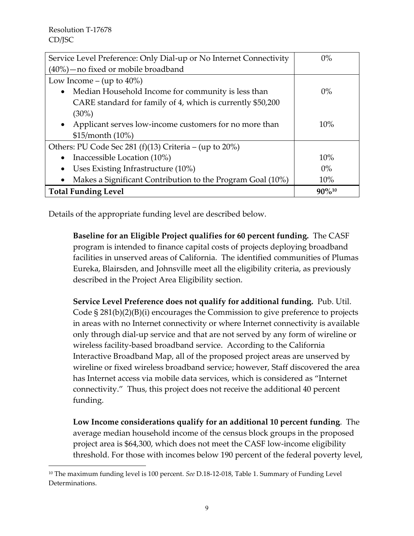$\overline{a}$ 

| Service Level Preference: Only Dial-up or No Internet Connectivity  | $0\%$       |
|---------------------------------------------------------------------|-------------|
| $(40\%)$ - no fixed or mobile broadband                             |             |
| Low Income – (up to $40\%$ )                                        |             |
| Median Household Income for community is less than<br>$\bullet$     | $0\%$       |
| CARE standard for family of 4, which is currently \$50,200          |             |
| $(30\%)$                                                            |             |
| Applicant serves low-income customers for no more than<br>$\bullet$ | 10%         |
| \$15/morth (10%)                                                    |             |
| Others: PU Code Sec 281 (f)(13) Criteria – (up to 20%)              |             |
| Inaccessible Location (10%)<br>$\bullet$                            | 10%         |
| Uses Existing Infrastructure (10%)                                  | $0\%$       |
| Makes a Significant Contribution to the Program Goal (10%)<br>٠     | 10%         |
| <b>Total Funding Level</b>                                          | $90\%^{10}$ |

Details of the appropriate funding level are described below.

**Baseline for an Eligible Project qualifies for 60 percent funding.** The CASF program is intended to finance capital costs of projects deploying broadband facilities in unserved areas of California. The identified communities of Plumas Eureka, Blairsden, and Johnsville meet all the eligibility criteria, as previously described in the Project Area Eligibility section.

**Service Level Preference does not qualify for additional funding.** Pub. Util. Code  $\S 281(b)(2)(B)(i)$  encourages the Commission to give preference to projects in areas with no Internet connectivity or where Internet connectivity is available only through dial-up service and that are not served by any form of wireline or wireless facility-based broadband service. According to the California Interactive Broadband Map, all of the proposed project areas are unserved by wireline or fixed wireless broadband service; however, Staff discovered the area has Internet access via mobile data services, which is considered as "Internet connectivity." Thus, this project does not receive the additional 40 percent funding.

**Low Income considerations qualify for an additional 10 percent funding**. The average median household income of the census block groups in the proposed project area is \$64,300, which does not meet the CASF low-income eligibility threshold. For those with incomes below 190 percent of the federal poverty level,

<sup>10</sup> The maximum funding level is 100 percent. *See* D.18-12-018, Table 1. Summary of Funding Level Determinations.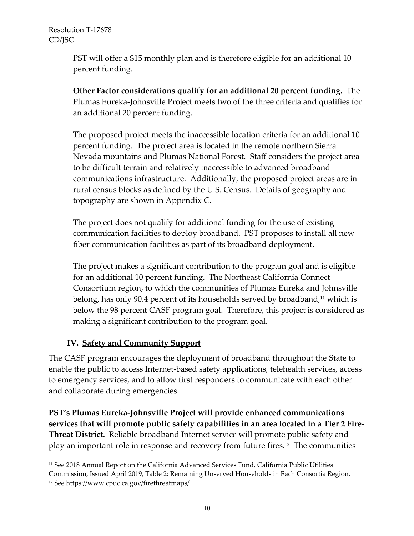PST will offer a \$15 monthly plan and is therefore eligible for an additional 10 percent funding.

**Other Factor considerations qualify for an additional 20 percent funding.** The Plumas Eureka-Johnsville Project meets two of the three criteria and qualifies for an additional 20 percent funding.

The proposed project meets the inaccessible location criteria for an additional 10 percent funding. The project area is located in the remote northern Sierra Nevada mountains and Plumas National Forest. Staff considers the project area to be difficult terrain and relatively inaccessible to advanced broadband communications infrastructure. Additionally, the proposed project areas are in rural census blocks as defined by the U.S. Census. Details of geography and topography are shown in Appendix C.

The project does not qualify for additional funding for the use of existing communication facilities to deploy broadband. PST proposes to install all new fiber communication facilities as part of its broadband deployment.

The project makes a significant contribution to the program goal and is eligible for an additional 10 percent funding. The Northeast California Connect Consortium region, to which the communities of Plumas Eureka and Johnsville belong, has only 90.4 percent of its households served by broadband, <sup>11</sup> which is below the 98 percent CASF program goal. Therefore, this project is considered as making a significant contribution to the program goal.

# **IV. Safety and Community Support**

l

The CASF program encourages the deployment of broadband throughout the State to enable the public to access Internet-based safety applications, telehealth services, access to emergency services, and to allow first responders to communicate with each other and collaborate during emergencies.

**PST's Plumas Eureka-Johnsville Project will provide enhanced communications services that will promote public safety capabilities in an area located in a Tier 2 Fire-Threat District.** Reliable broadband Internet service will promote public safety and play an important role in response and recovery from future fires.<sup>12</sup> The communities

<sup>11</sup> See 2018 Annual Report on the California Advanced Services Fund, California Public Utilities Commission, Issued April 2019, Table 2: Remaining Unserved Households in Each Consortia Region. <sup>12</sup> See https://www.cpuc.ca.gov/firethreatmaps/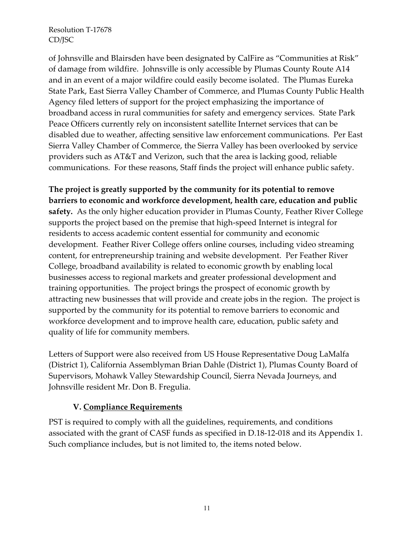of Johnsville and Blairsden have been designated by CalFire as "Communities at Risk" of damage from wildfire. Johnsville is only accessible by Plumas County Route A14 and in an event of a major wildfire could easily become isolated. The Plumas Eureka State Park, East Sierra Valley Chamber of Commerce, and Plumas County Public Health Agency filed letters of support for the project emphasizing the importance of broadband access in rural communities for safety and emergency services. State Park Peace Officers currently rely on inconsistent satellite Internet services that can be disabled due to weather, affecting sensitive law enforcement communications. Per East Sierra Valley Chamber of Commerce, the Sierra Valley has been overlooked by service providers such as AT&T and Verizon, such that the area is lacking good, reliable communications. For these reasons, Staff finds the project will enhance public safety.

**The project is greatly supported by the community for its potential to remove barriers to economic and workforce development, health care, education and public safety.** As the only higher education provider in Plumas County, Feather River College supports the project based on the premise that high-speed Internet is integral for residents to access academic content essential for community and economic development. Feather River College offers online courses, including video streaming content, for entrepreneurship training and website development. Per Feather River College, broadband availability is related to economic growth by enabling local businesses access to regional markets and greater professional development and training opportunities. The project brings the prospect of economic growth by attracting new businesses that will provide and create jobs in the region. The project is supported by the community for its potential to remove barriers to economic and workforce development and to improve health care, education, public safety and quality of life for community members.

Letters of Support were also received from US House Representative Doug LaMalfa (District 1), California Assemblyman Brian Dahle (District 1), Plumas County Board of Supervisors, Mohawk Valley Stewardship Council, Sierra Nevada Journeys, and Johnsville resident Mr. Don B. Fregulia.

### **V. Compliance Requirements**

PST is required to comply with all the guidelines, requirements, and conditions associated with the grant of CASF funds as specified in D.18-12-018 and its Appendix 1. Such compliance includes, but is not limited to, the items noted below.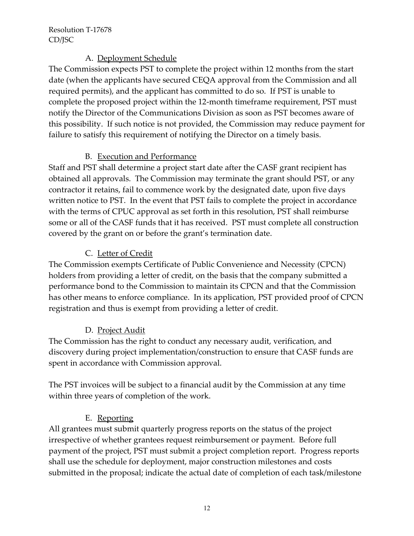## A. Deployment Schedule

The Commission expects PST to complete the project within 12 months from the start date (when the applicants have secured CEQA approval from the Commission and all required permits), and the applicant has committed to do so. If PST is unable to complete the proposed project within the 12-month timeframe requirement, PST must notify the Director of the Communications Division as soon as PST becomes aware of this possibility. If such notice is not provided, the Commission may reduce payment for failure to satisfy this requirement of notifying the Director on a timely basis.

# B. Execution and Performance

Staff and PST shall determine a project start date after the CASF grant recipient has obtained all approvals. The Commission may terminate the grant should PST, or any contractor it retains, fail to commence work by the designated date, upon five days written notice to PST. In the event that PST fails to complete the project in accordance with the terms of CPUC approval as set forth in this resolution, PST shall reimburse some or all of the CASF funds that it has received. PST must complete all construction covered by the grant on or before the grant's termination date.

# C. Letter of Credit

The Commission exempts Certificate of Public Convenience and Necessity (CPCN) holders from providing a letter of credit, on the basis that the company submitted a performance bond to the Commission to maintain its CPCN and that the Commission has other means to enforce compliance. In its application, PST provided proof of CPCN registration and thus is exempt from providing a letter of credit.

# D. Project Audit

The Commission has the right to conduct any necessary audit, verification, and discovery during project implementation/construction to ensure that CASF funds are spent in accordance with Commission approval.

The PST invoices will be subject to a financial audit by the Commission at any time within three years of completion of the work.

# E. Reporting

All grantees must submit quarterly progress reports on the status of the project irrespective of whether grantees request reimbursement or payment. Before full payment of the project, PST must submit a project completion report. Progress reports shall use the schedule for deployment, major construction milestones and costs submitted in the proposal; indicate the actual date of completion of each task/milestone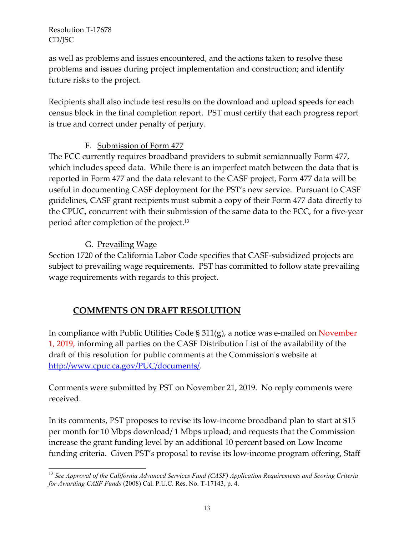as well as problems and issues encountered, and the actions taken to resolve these problems and issues during project implementation and construction; and identify future risks to the project.

Recipients shall also include test results on the download and upload speeds for each census block in the final completion report. PST must certify that each progress report is true and correct under penalty of perjury.

## F. Submission of Form 477

The FCC currently requires broadband providers to submit semiannually Form 477, which includes speed data. While there is an imperfect match between the data that is reported in Form 477 and the data relevant to the CASF project, Form 477 data will be useful in documenting CASF deployment for the PST's new service. Pursuant to CASF guidelines, CASF grant recipients must submit a copy of their Form 477 data directly to the CPUC, concurrent with their submission of the same data to the FCC, for a five-year period after completion of the project.<sup>13</sup>

## G. Prevailing Wage

Section 1720 of the California Labor Code specifies that CASF-subsidized projects are subject to prevailing wage requirements. PST has committed to follow state prevailing wage requirements with regards to this project.

# **COMMENTS ON DRAFT RESOLUTION**

In compliance with Public Utilities Code § 311(g), a notice was e-mailed on November 1, 2019, informing all parties on the CASF Distribution List of the availability of the draft of this resolution for public comments at the Commission's website at [http://www.cpuc.ca.gov/PUC/documents/.](http://www.cpuc.ca.gov/PUC/documents/)

Comments were submitted by PST on November 21, 2019. No reply comments were received.

In its comments, PST proposes to revise its low-income broadband plan to start at \$15 per month for 10 Mbps download/ 1 Mbps upload; and requests that the Commission increase the grant funding level by an additional 10 percent based on Low Income funding criteria. Given PST's proposal to revise its low-income program offering, Staff

 $\overline{a}$ <sup>13</sup> *See Approval of the California Advanced Services Fund (CASF) Application Requirements and Scoring Criteria for Awarding CASF Funds* (2008) Cal. P.U.C. Res. No. T-17143, p. 4.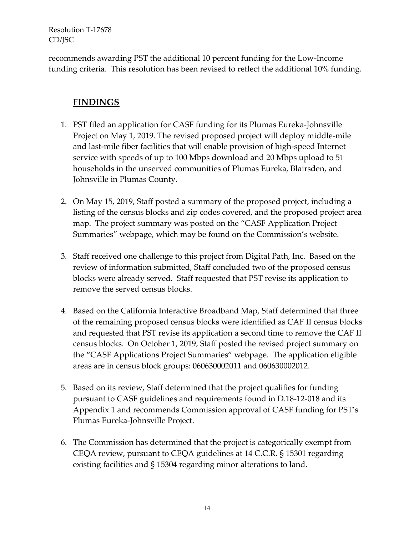recommends awarding PST the additional 10 percent funding for the Low-Income funding criteria. This resolution has been revised to reflect the additional 10% funding.

# **FINDINGS**

- 1. PST filed an application for CASF funding for its Plumas Eureka-Johnsville Project on May 1, 2019. The revised proposed project will deploy middle-mile and last-mile fiber facilities that will enable provision of high-speed Internet service with speeds of up to 100 Mbps download and 20 Mbps upload to 51 households in the unserved communities of Plumas Eureka, Blairsden, and Johnsville in Plumas County.
- 2. On May 15, 2019, Staff posted a summary of the proposed project, including a listing of the census blocks and zip codes covered, and the proposed project area map. The project summary was posted on the "CASF Application Project Summaries" webpage, which may be found on the Commission's website.
- 3. Staff received one challenge to this project from Digital Path, Inc. Based on the review of information submitted, Staff concluded two of the proposed census blocks were already served. Staff requested that PST revise its application to remove the served census blocks.
- 4. Based on the California Interactive Broadband Map, Staff determined that three of the remaining proposed census blocks were identified as CAF II census blocks and requested that PST revise its application a second time to remove the CAF II census blocks. On October 1, 2019, Staff posted the revised project summary on the "CASF Applications Project Summaries" webpage. The application eligible areas are in census block groups: 060630002011 and 060630002012.
- 5. Based on its review, Staff determined that the project qualifies for funding pursuant to CASF guidelines and requirements found in D.18-12-018 and its Appendix 1 and recommends Commission approval of CASF funding for PST's Plumas Eureka-Johnsville Project.
- 6. The Commission has determined that the project is categorically exempt from CEQA review, pursuant to CEQA guidelines at 14 C.C.R. § 15301 regarding existing facilities and § 15304 regarding minor alterations to land.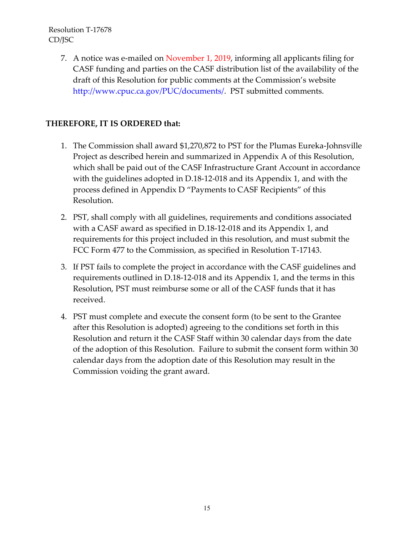> 7. A notice was e-mailed on November 1, 2019, informing all applicants filing for CASF funding and parties on the CASF distribution list of the availability of the draft of this Resolution for public comments at the Commission's website http://www.cpuc.ca.gov/PUC/documents/. PST submitted comments.

### **THEREFORE, IT IS ORDERED that:**

- 1. The Commission shall award \$1,270,872 to PST for the Plumas Eureka-Johnsville Project as described herein and summarized in Appendix A of this Resolution, which shall be paid out of the CASF Infrastructure Grant Account in accordance with the guidelines adopted in D.18-12-018 and its Appendix 1, and with the process defined in Appendix D "Payments to CASF Recipients" of this Resolution.
- 2. PST, shall comply with all guidelines, requirements and conditions associated with a CASF award as specified in D.18-12-018 and its Appendix 1, and requirements for this project included in this resolution, and must submit the FCC Form 477 to the Commission, as specified in Resolution T-17143.
- 3. If PST fails to complete the project in accordance with the CASF guidelines and requirements outlined in D.18-12-018 and its Appendix 1, and the terms in this Resolution, PST must reimburse some or all of the CASF funds that it has received.
- 4. PST must complete and execute the consent form (to be sent to the Grantee after this Resolution is adopted) agreeing to the conditions set forth in this Resolution and return it the CASF Staff within 30 calendar days from the date of the adoption of this Resolution. Failure to submit the consent form within 30 calendar days from the adoption date of this Resolution may result in the Commission voiding the grant award.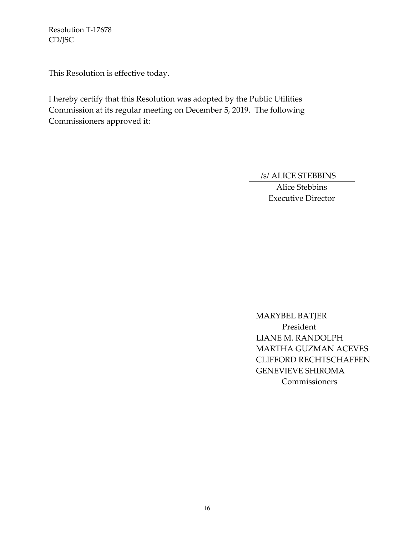This Resolution is effective today.

I hereby certify that this Resolution was adopted by the Public Utilities Commission at its regular meeting on December 5, 2019. The following Commissioners approved it:

/s/ ALICE STEBBINS

Alice Stebbins Executive Director

MARYBEL BATJER President LIANE M. RANDOLPH MARTHA GUZMAN ACEVES CLIFFORD RECHTSCHAFFEN GENEVIEVE SHIROMA **Commissioners**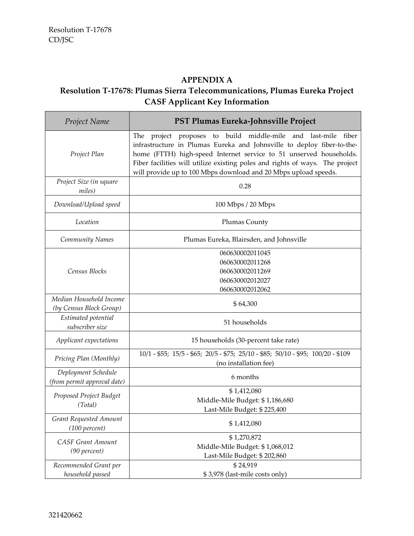# **APPENDIX A**

# **Resolution T-17678: Plumas Sierra Telecommunications, Plumas Eureka Project CASF Applicant Key Information**

| Project Name                                       | PST Plumas Eureka-Johnsville Project                                                                                                                                                                                                                                                                                                                                |  |
|----------------------------------------------------|---------------------------------------------------------------------------------------------------------------------------------------------------------------------------------------------------------------------------------------------------------------------------------------------------------------------------------------------------------------------|--|
| Project Plan                                       | project proposes to build middle-mile and last-mile fiber<br>The<br>infrastructure in Plumas Eureka and Johnsville to deploy fiber-to-the-<br>home (FTTH) high-speed Internet service to 51 unserved households.<br>Fiber facilities will utilize existing poles and rights of ways. The project<br>will provide up to 100 Mbps download and 20 Mbps upload speeds. |  |
| Project Size (in square<br>miles)                  | 0.28                                                                                                                                                                                                                                                                                                                                                                |  |
| Download/Upload speed                              | 100 Mbps / 20 Mbps                                                                                                                                                                                                                                                                                                                                                  |  |
| Location                                           | Plumas County                                                                                                                                                                                                                                                                                                                                                       |  |
| <b>Community Names</b>                             | Plumas Eureka, Blairsden, and Johnsville                                                                                                                                                                                                                                                                                                                            |  |
| Census Blocks                                      | 060630002011045<br>060630002011268<br>060630002011269<br>060630002012027<br>060630002012062                                                                                                                                                                                                                                                                         |  |
| Median Household Income<br>(by Census Block Group) | \$64,300                                                                                                                                                                                                                                                                                                                                                            |  |
| Estimated potential<br>subscriber size             | 51 households                                                                                                                                                                                                                                                                                                                                                       |  |
| Applicant expectations                             | 15 households (30-percent take rate)                                                                                                                                                                                                                                                                                                                                |  |
| Pricing Plan (Monthly)                             | 10/1 - \$55; 15/5 - \$65; 20/5 - \$75; 25/10 - \$85; 50/10 - \$95; 100/20 - \$109<br>(no installation fee)                                                                                                                                                                                                                                                          |  |
| Deployment Schedule<br>(from permit approval date) | 6 months                                                                                                                                                                                                                                                                                                                                                            |  |
| Proposed Project Budget<br>(Total)                 | \$1,412,080<br>Middle-Mile Budget: \$1,186,680<br>Last-Mile Budget: \$225,400                                                                                                                                                                                                                                                                                       |  |
| Grant Requested Amount<br>(100 percent)            | \$1,412,080                                                                                                                                                                                                                                                                                                                                                         |  |
| <b>CASF Grant Amount</b><br>(90 percent)           | \$1,270,872<br>Middle-Mile Budget: \$1,068,012<br>Last-Mile Budget: \$202,860                                                                                                                                                                                                                                                                                       |  |
| Recommended Grant per<br>household passed          | \$24,919<br>\$3,978 (last-mile costs only)                                                                                                                                                                                                                                                                                                                          |  |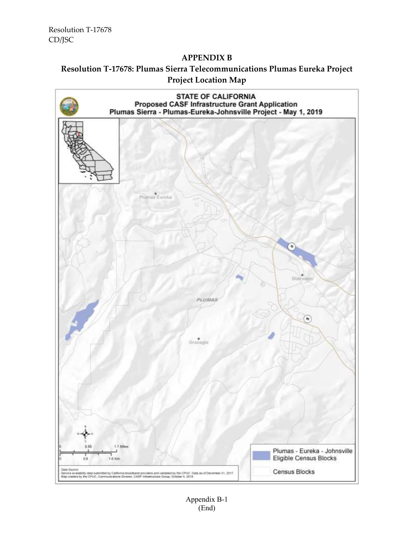#### **APPENDIX B**



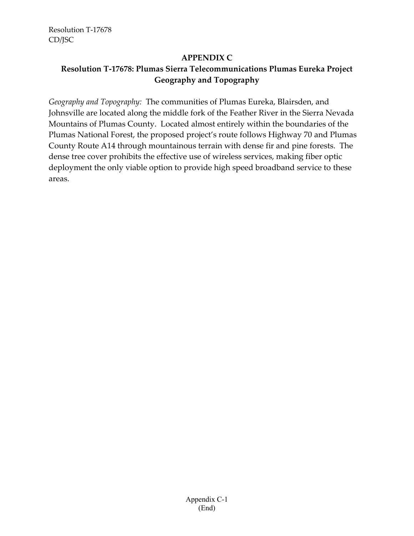#### **APPENDIX C**

# **Resolution T-17678: Plumas Sierra Telecommunications Plumas Eureka Project Geography and Topography**

*Geography and Topography:* The communities of Plumas Eureka, Blairsden, and Johnsville are located along the middle fork of the Feather River in the Sierra Nevada Mountains of Plumas County. Located almost entirely within the boundaries of the Plumas National Forest, the proposed project's route follows Highway 70 and Plumas County Route A14 through mountainous terrain with dense fir and pine forests. The dense tree cover prohibits the effective use of wireless services, making fiber optic deployment the only viable option to provide high speed broadband service to these areas.